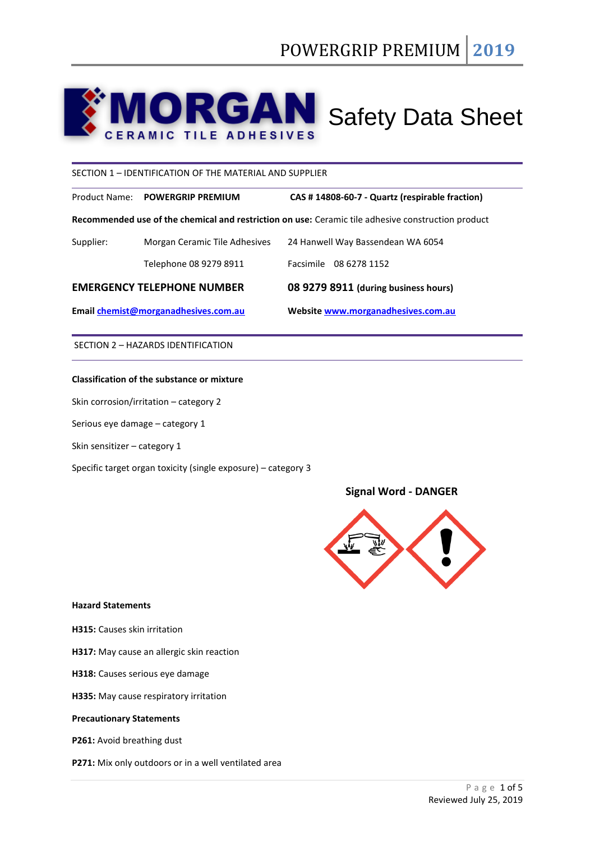# **MORGAN** Safety Data Sheet 7A I C

SECTION 1 – IDENTIFICATION OF THE MATERIAL AND SUPPLIER

Product Name: **POWERGRIP PREMIUM CAS # 14808-60-7 - Quartz (respirable fraction)**

**Recommended use of the chemical and restriction on use:** Ceramic tile adhesive construction product

| Email chemist@morganadhesives.com.au |                               | Website www.morganadhesives.com.au   |  |
|--------------------------------------|-------------------------------|--------------------------------------|--|
| <b>EMERGENCY TELEPHONE NUMBER</b>    |                               | 08 9279 8911 (during business hours) |  |
|                                      | Telephone 08 9279 8911        | Facsimile 08 6278 1152               |  |
| Supplier:                            | Morgan Ceramic Tile Adhesives | 24 Hanwell Way Bassendean WA 6054    |  |
|                                      |                               |                                      |  |

SECTION 2 – HAZARDS IDENTIFICATION

# **Classification of the substance or mixture**

Skin corrosion/irritation – category 2

Serious eye damage – category 1

Skin sensitizer – category 1

Specific target organ toxicity (single exposure) – category 3

# **Signal Word - DANGER**



# **Hazard Statements**

**H315:** Causes skin irritation

**H317:** May cause an allergic skin reaction

- **H318:** Causes serious eye damage
- **H335:** May cause respiratory irritation

## **Precautionary Statements**

**P261:** Avoid breathing dust

**P271:** Mix only outdoors or in a well ventilated area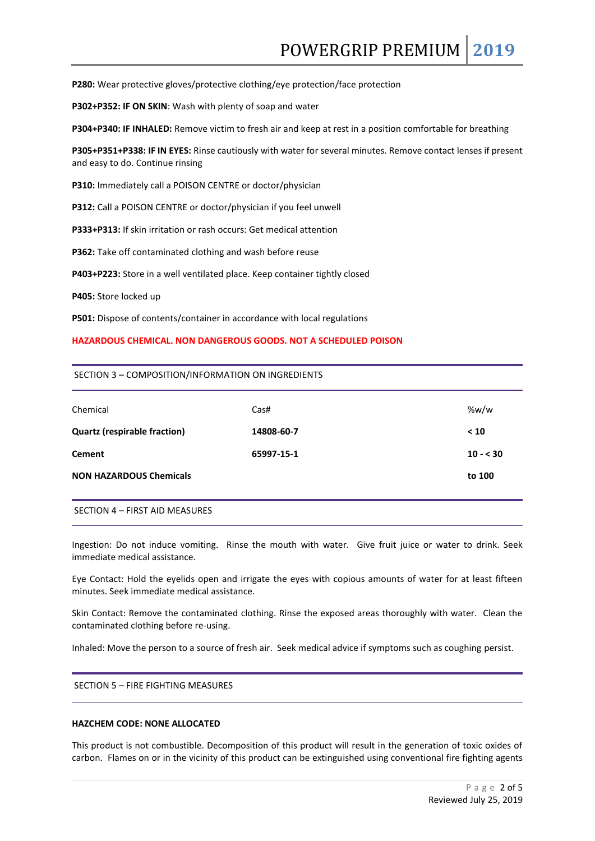**P280:** Wear protective gloves/protective clothing/eye protection/face protection

**P302+P352: IF ON SKIN**: Wash with plenty of soap and water

**P304+P340: IF INHALED:** Remove victim to fresh air and keep at rest in a position comfortable for breathing

**P305+P351+P338: IF IN EYES:** Rinse cautiously with water for several minutes. Remove contact lenses if present and easy to do. Continue rinsing

**P310:** Immediately call a POISON CENTRE or doctor/physician

**P312:** Call a POISON CENTRE or doctor/physician if you feel unwell

**P333+P313:** If skin irritation or rash occurs: Get medical attention

**P362:** Take off contaminated clothing and wash before reuse

**P403+P223:** Store in a well ventilated place. Keep container tightly closed

**P405:** Store locked up

**P501:** Dispose of contents/container in accordance with local regulations

## **HAZARDOUS CHEMICAL. NON DANGEROUS GOODS. NOT A SCHEDULED POISON**

#### SECTION 3 – COMPOSITION/INFORMATION ON INGREDIENTS

| Chemical                            | Cas#       | %w/w      |
|-------------------------------------|------------|-----------|
| <b>Quartz (respirable fraction)</b> | 14808-60-7 | < 10      |
| <b>Cement</b>                       | 65997-15-1 | $10 - 30$ |
| <b>NON HAZARDOUS Chemicals</b>      |            | to 100    |
|                                     |            |           |

SECTION 4 – FIRST AID MEASURES

Ingestion: Do not induce vomiting. Rinse the mouth with water. Give fruit juice or water to drink. Seek immediate medical assistance.

Eye Contact: Hold the eyelids open and irrigate the eyes with copious amounts of water for at least fifteen minutes. Seek immediate medical assistance.

Skin Contact: Remove the contaminated clothing. Rinse the exposed areas thoroughly with water. Clean the contaminated clothing before re-using.

Inhaled: Move the person to a source of fresh air. Seek medical advice if symptoms such as coughing persist.

SECTION 5 – FIRE FIGHTING MEASURES

#### **HAZCHEM CODE: NONE ALLOCATED**

This product is not combustible. Decomposition of this product will result in the generation of toxic oxides of carbon. Flames on or in the vicinity of this product can be extinguished using conventional fire fighting agents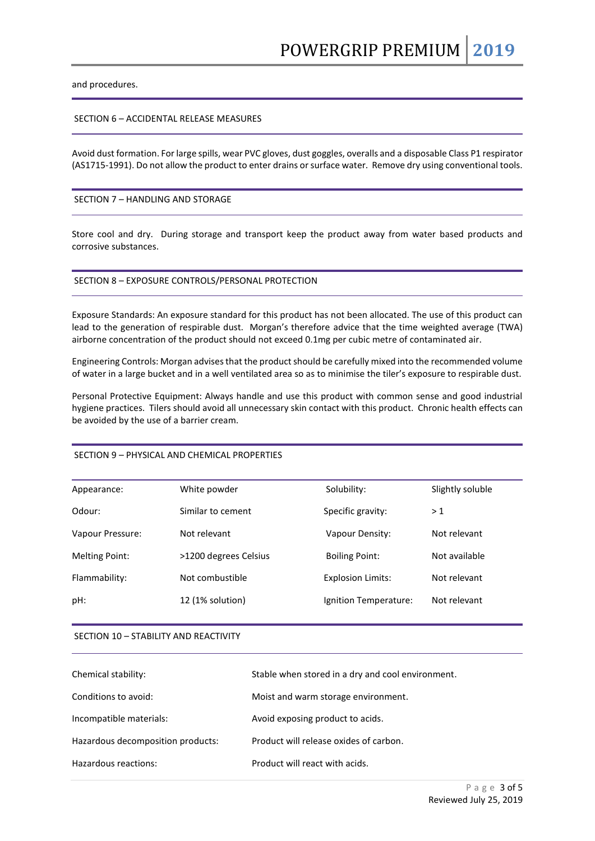and procedures.

# SECTION 6 – ACCIDENTAL RELEASE MEASURES

Avoid dust formation. For large spills, wear PVC gloves, dust goggles, overalls and a disposable Class P1 respirator (AS1715-1991). Do not allow the product to enter drains or surface water. Remove dry using conventional tools.

## SECTION 7 – HANDLING AND STORAGE

Store cool and dry. During storage and transport keep the product away from water based products and corrosive substances.

#### SECTION 8 – EXPOSURE CONTROLS/PERSONAL PROTECTION

Exposure Standards: An exposure standard for this product has not been allocated. The use of this product can lead to the generation of respirable dust. Morgan's therefore advice that the time weighted average (TWA) airborne concentration of the product should not exceed 0.1mg per cubic metre of contaminated air.

Engineering Controls: Morgan advisesthat the product should be carefully mixed into the recommended volume of water in a large bucket and in a well ventilated area so as to minimise the tiler's exposure to respirable dust.

Personal Protective Equipment: Always handle and use this product with common sense and good industrial hygiene practices. Tilers should avoid all unnecessary skin contact with this product. Chronic health effects can be avoided by the use of a barrier cream.

## SECTION 9 – PHYSICAL AND CHEMICAL PROPERTIES

| Appearance:           | White powder          | Solubility:              | Slightly soluble |
|-----------------------|-----------------------|--------------------------|------------------|
| Odour:                | Similar to cement     | Specific gravity:        | >1               |
| Vapour Pressure:      | Not relevant          | Vapour Density:          | Not relevant     |
| <b>Melting Point:</b> | >1200 degrees Celsius | <b>Boiling Point:</b>    | Not available    |
| Flammability:         | Not combustible       | <b>Explosion Limits:</b> | Not relevant     |
| pH:                   | 12 (1% solution)      | Ignition Temperature:    | Not relevant     |
|                       |                       |                          |                  |

#### SECTION 10 – STABILITY AND REACTIVITY

| Chemical stability:               | Stable when stored in a dry and cool environment. |
|-----------------------------------|---------------------------------------------------|
| Conditions to avoid:              | Moist and warm storage environment.               |
| Incompatible materials:           | Avoid exposing product to acids.                  |
| Hazardous decomposition products: | Product will release oxides of carbon.            |
| Hazardous reactions:              | Product will react with acids.                    |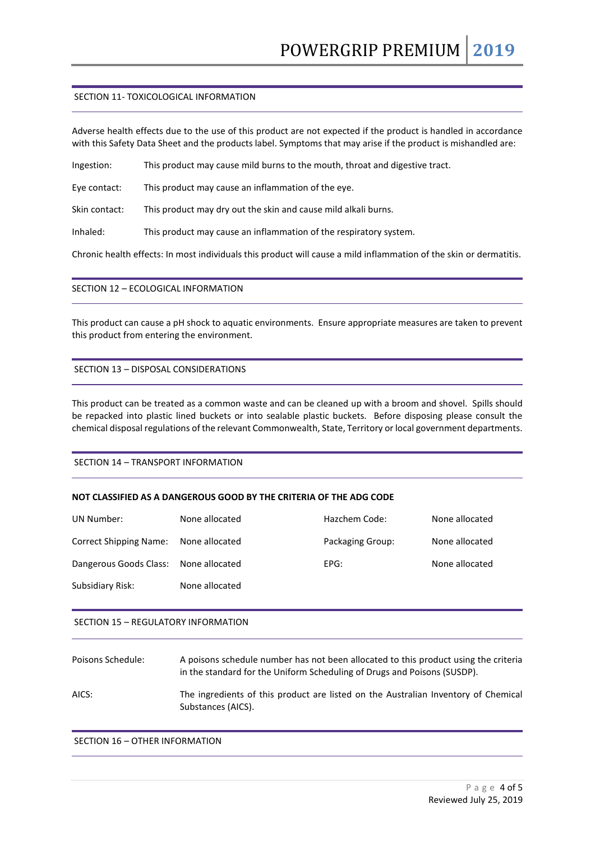# SECTION 11- TOXICOLOGICAL INFORMATION

Adverse health effects due to the use of this product are not expected if the product is handled in accordance with this Safety Data Sheet and the products label. Symptoms that may arise if the product is mishandled are:

Ingestion: This product may cause mild burns to the mouth, throat and digestive tract.

Eye contact: This product may cause an inflammation of the eye.

Skin contact: This product may dry out the skin and cause mild alkali burns.

Inhaled: This product may cause an inflammation of the respiratory system.

Chronic health effects: In most individuals this product will cause a mild inflammation of the skin or dermatitis.

# SECTION 12 – ECOLOGICAL INFORMATION

This product can cause a pH shock to aquatic environments. Ensure appropriate measures are taken to prevent this product from entering the environment.

# SECTION 13 – DISPOSAL CONSIDERATIONS

This product can be treated as a common waste and can be cleaned up with a broom and shovel. Spills should be repacked into plastic lined buckets or into sealable plastic buckets. Before disposing please consult the chemical disposal regulations of the relevant Commonwealth, State, Territory or local government departments.

## SECTION 14 – TRANSPORT INFORMATION

## **NOT CLASSIFIED AS A DANGEROUS GOOD BY THE CRITERIA OF THE ADG CODE**

| UN Number:                    | None allocated | Hazchem Code:    | None allocated |
|-------------------------------|----------------|------------------|----------------|
| <b>Correct Shipping Name:</b> | None allocated | Packaging Group: | None allocated |
| Dangerous Goods Class:        | None allocated | EPG:             | None allocated |
| Subsidiary Risk:              | None allocated |                  |                |

## SECTION 15 – REGULATORY INFORMATION

| Poisons Schedule: | A poisons schedule number has not been allocated to this product using the criteria |
|-------------------|-------------------------------------------------------------------------------------|
|                   | in the standard for the Uniform Scheduling of Drugs and Poisons (SUSDP).            |

AICS: The ingredients of this product are listed on the Australian Inventory of Chemical Substances (AICS).

# SECTION 16 – OTHER INFORMATION